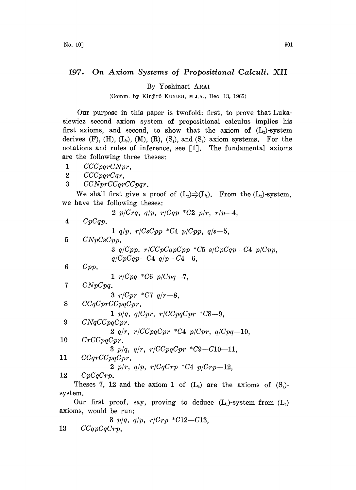## 197. On Axiom Systems of Propositional Calculi. XII

By Yoshinari ARAI

(Comm. by Kinjir6 KUNUGI, M.J.A., Dec. 13, 1965)

Our purpose in this paper is twofold: first, to prove that Lukasiewicz second axiom system of propositional calculus implies his first axioms, and second, to show that the axiom of  $(L<sub>2</sub>)$ -system derives  $(F)$ ,  $(H)$ ,  $(L_3)$ ,  $(M)$ ,  $(R)$ ,  $(S_1)$ , and  $(S_2)$  axiom systems. For the notations and rules of inference, see  $[1]$ . The fundamental axioms are the following three theses:

- 1 CCCpqrCNpr,
- 2 CCC parCar,
- 3 CCNprCCqrCCpqr.

We shall first give a proof of  $(L_2) \rightarrow (L_1)$ . From the  $(L_2)$ -system, we have the following theses:

$$
2 p(Crq, q/p, r/Cqp * C2 p/r, r/p-4,
$$
\n
$$
1 q/p, r/CsCpp * C4 p/Cpp, q/s-5,
$$
\n
$$
5 C NpCsCpp.
$$
\n
$$
3 q/Cpp, r/CcpcqpCqp * C5 s/CpCqp-C4 p/Cpp,
$$
\n
$$
q/CpCqp-C4 q/p-C4-6,
$$
\n
$$
6 Cpp.
$$
\n
$$
1 r/Cpq * C6 p/Cpq-7,
$$
\n
$$
1 r/Cpq * C7 q/r-8,
$$
\n
$$
3 r/Cpr * C7 q/r-8,
$$
\n
$$
3 r/Cpr * C7 q/r-8,
$$
\n
$$
1 p/q, q/Cpr, r/CcpqCpr * C8-9,
$$
\n
$$
2 q/r, r/CcpqCpr * C4 p/Cpr, q/Cpq-10,
$$
\n
$$
10 C rCCpqCpr.
$$
\n
$$
3 p/q, q/r, r/CcpqCpr * C9-C10-11,
$$
\n
$$
11 C CqrCCpqCpr.
$$
\n
$$
2 p/r, q/p, r/CqCrp * C4 p/Crp-12,
$$
\n
$$
2 p/r, q/p, r/CqCrp * C4 p/Crp-12,
$$
\n
$$
12 CpCqCrp.
$$
\nTheses 7, 12 and the axiom 1 of (L<sub>2</sub>) are the axioms of (S<sub>1</sub>)-

system. Our first proof, say, proving to deduce  $(L_1)$ -system from  $(L_2)$ axioms, would be run:

$$
\begin{array}{cc}\n & 8 \quad p/q, \quad q/p, \quad r/Crp \quad ^*C12-C13, \\
13 \quad & CCqpCqCrp.\n\end{array}
$$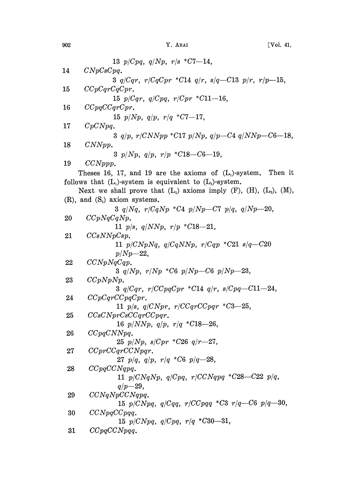|    | 13 $p/Cpq$ , $q/Np$ , $r/s$ * $C7-14$ ,                                         |
|----|---------------------------------------------------------------------------------|
| 14 | $C N p C s C p q$ .                                                             |
|    | 3 $q/Cqr$ , $r/CqCpr$ *C14 $q/r$ , $s/q$ -C13 $p/r$ , $r/p$ -15,                |
| 15 | CCpCqrCqCpr.                                                                    |
|    | 15 $p/Cqr$ , $q/Cpq$ , $r/Cpr$ * $C11-16$ ,                                     |
| 16 | CCpqCCqrCpr.                                                                    |
|    | 15 $p/Np$ , $q/p$ , $r/q$ *C7-17,                                               |
| 17 | CpCNpq.                                                                         |
|    | 3 $q/p$ , $r/CNNpp$ *C17 $p/Np$ , $q/p$ - C4 $q/NNp$ - C6 - 18,                 |
| 18 | CNNpp.                                                                          |
|    | 3 $p/Np$ , $q/p$ , $r/p$ *C18--C6--19,                                          |
| 19 | $CCNppp$ .                                                                      |
|    | Theses 16, 17, and 19 are the axioms of $(L_1)$ -system. Then it                |
|    | follows that $(L_1)$ -system is equivalent to $(L_2)$ -system.                  |
|    | Next we shall prove that $(L_2)$ axioms imply $(F)$ , $(H)$ , $(L_3)$ , $(M)$ , |
|    | $(R)$ , and $(S_2)$ axiom systems.                                              |
|    | 3 $q/Nq$ , $r/CqNp$ *C4 $p/Np$ -C7 $p/q$ , $q/Np$ -20,                          |
| 20 | CCpNqCqNp.<br>11 $p/s$ , $q/NNp$ , $r/p$ *C18-21,                               |
| 21 | CCsNNpCsp.                                                                      |
|    | 11 $p/CNpNq$ , $q/CqNNp$ , $r/Cqp$ *C21 $s/q$ -C20                              |
|    | $p/Np - 22$                                                                     |
| 22 | CCNpNqCqp.                                                                      |
|    | 3 $q/Np$ , $r/Np$ *C6 $p/Np$ –C6 $p/Np$ –23,                                    |
| 23 | CCpNpNp.                                                                        |
|    | 3 $q/Cqr$ , $r/CCpqCpr$ *C14 $q/r$ , $s/Cpq$ -C11-24,                           |
| 24 | CCpCqrCCpqCpr.                                                                  |
|    | 11 $p/s$ , $q/CNpr$ , $r/CCqrCCpqr$ *C3-25,                                     |
| 25 | CCsCNprCsCCqrCCpqr.<br>16 $p/NNp$ , $q/p$ , $r/q$ * $C18-26$ ,                  |
| 26 | CCpqCNNpq.                                                                      |
|    | 25 $p/Np$ , $s/Cpr$ *C26 $q/r$ -27,                                             |
| 27 | CCprCCqrCCNpqr.                                                                 |
|    | 27 $p/q$ , $q/p$ , $r/q$ *C6 $p/q$ -28,                                         |
| 28 | CCpqCCNqpq.                                                                     |
|    | 11 $p/CNqNp$ , $q/Cpq$ , $r/CCNqpq$ *C28--C22 $p/q$ ,                           |
|    | $q/p = 29,$                                                                     |
| 29 | CCNqNpCCNqpq.                                                                   |
|    | 15 $p/CNpq$ , $q/Cqq$ , $r/CCpqq$ *C3 $r/q$ -C6 $p/q$ -30,                      |
| 30 | $CCNpqCCpqq$ .<br>15 $p/CNpq$ , $q/Cpq$ , $r/q$ *C30-31,                        |
| 31 | CCpqCCNpqq.                                                                     |
|    |                                                                                 |